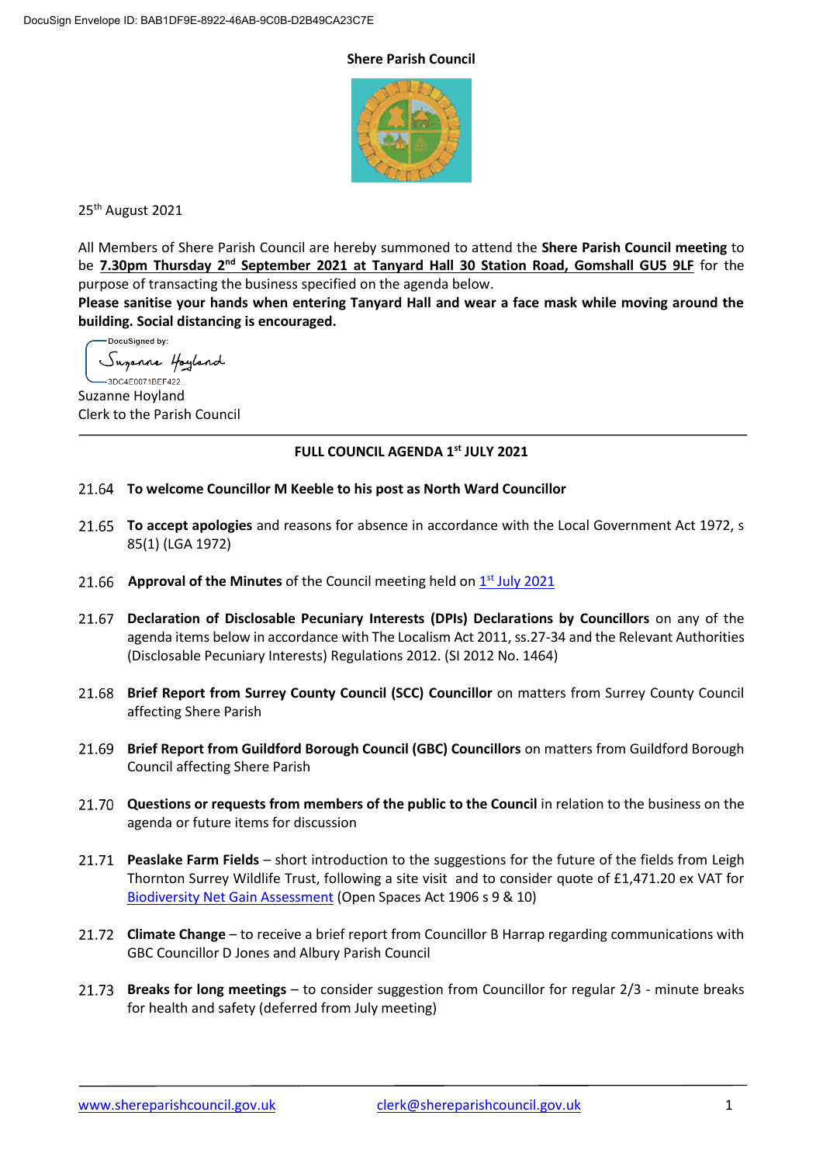#### **Shere Parish Council**



25<sup>th</sup> August 2021

All Members of Shere Parish Council are hereby summoned to attend the **Shere Parish Council meeting** to be **7.30pm Thursday 2<sup>nd</sup> September 2021 at Tanyard Hall 30 Station Road, Gomshall GU5 9LF** for the purpose of transacting the business specified on the agenda below.

**Please sanitise your hands when entering Tanyard Hall and wear a face mask while moving around the building. Social distancing is encouraged.**

-DocuSigned by: Suganne Hoyland -3DC4E0071BEF422...

Suzanne Hoyland Clerk to the Parish Council

# **FULL COUNCIL AGENDA 1 st JULY 2021**

- **To welcome Councillor M Keeble to his post as North Ward Councillor**
- **To accept apologies** and reasons for absence in accordance with the Local Government Act 1972, s 85(1) (LGA 1972)
- Approval of the Minutes of the Council meeting held on **1st July [2021](https://www.shereparishcouncil.gov.uk/wp-content/uploads/2021/07/Council-Minutes-1st-July-2021-2.pdf)**
- **Declaration of Disclosable Pecuniary Interests (DPIs) Declarations by Councillors** on any of the agenda items below in accordance with The Localism Act 2011, ss.27-34 and the Relevant Authorities (Disclosable Pecuniary Interests) Regulations 2012. (SI 2012 No. 1464)
- **Brief Report from Surrey County Council (SCC) Councillor** on matters from Surrey County Council affecting Shere Parish
- **Brief Report from Guildford Borough Council (GBC) Councillors** on matters from Guildford Borough Council affecting Shere Parish
- **Questions or requests from members of the public to the Council** in relation to the business on the agenda or future items for discussion
- **Peaslake Farm Fields** short introduction to the suggestions for the future of the fields from Leigh Thornton Surrey Wildlife Trust, following a site visit and to consider quote of £1,471.20 ex VAT for [Biodiversity Net Gain Assessment](https://www.shereparishcouncil.gov.uk/wp-content/uploads/2021/08/210819-4914-1-Peaslake-BNG-Quote-Final-002.pdf) (Open Spaces Act 1906 s 9 & 10)
- **Climate Change** to receive a brief report from Councillor B Harrap regarding communications with GBC Councillor D Jones and Albury Parish Council
- **Breaks for long meetings** to consider suggestion from Councillor for regular 2/3 minute breaks for health and safety (deferred from July meeting)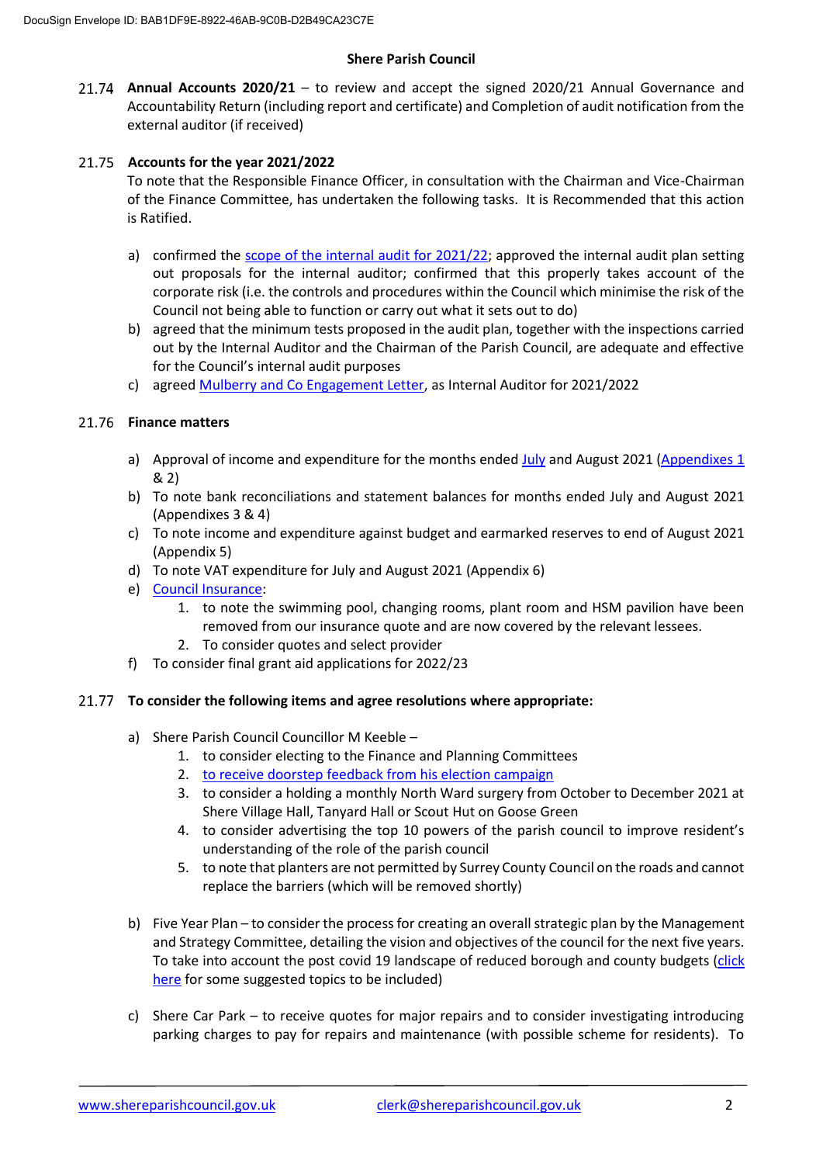### **Shere Parish Council**

**Annual Accounts 2020/21** – to review and accept the signed 2020/21 Annual Governance and Accountability Return (including report and certificate) and Completion of audit notification from the external auditor (if received)

## **Accounts for the year 2021/2022**

To note that the Responsible Finance Officer, in consultation with the Chairman and Vice-Chairman of the Finance Committee, has undertaken the following tasks. It is Recommended that this action is Ratified.

- a) confirmed the [scope of the internal audit for 2021/22;](https://www.shereparishcouncil.gov.uk/wp-content/uploads/2021/08/SHE002-Parish-Council-Audit-2021-22-ANNA-20210817-131736-122.pdf) approved the internal audit plan setting out proposals for the internal auditor; confirmed that this properly takes account of the corporate risk (i.e. the controls and procedures within the Council which minimise the risk of the Council not being able to function or carry out what it sets out to do)
- b) agreed that the minimum tests proposed in the audit plan, together with the inspections carried out by the Internal Auditor and the Chairman of the Parish Council, are adequate and effective for the Council's internal audit purposes
- c) agreed [Mulberry and Co Engagement Letter,](https://www.shereparishcouncil.gov.uk/wp-content/uploads/2021/08/SHE002-Engagement-Letter-Local-Authority-ANNA-20210817-131945-596.pdf) as Internal Auditor for 2021/2022

### 21.76 Finance matters

- a) Approval of income and expenditure for the months ended  $July$  and August 2021 [\(Appendixes](https://www.shereparishcouncil.gov.uk/wp-content/uploads/2021/08/Lloyds-Cashbook-July-2021-Redacted.pdf) 1 & 2)
- b) To note bank reconciliations and statement balances for months ended July and August 2021 (Appendixes 3 & 4)
- c) To note income and expenditure against budget and earmarked reserves to end of August 2021 (Appendix 5)
- d) To note VAT expenditure for July and August 2021 (Appendix 6)
- e) [Council Insurance:](https://www.shereparishcouncil.gov.uk/wp-content/uploads/2021/08/Shere-Parish-Council-Insurance-Quotes-2021.pdf)
	- 1. to note the swimming pool, changing rooms, plant room and HSM pavilion have been removed from our insurance quote and are now covered by the relevant lessees.
	- 2. To consider quotes and select provider
- f) To consider final grant aid applications for 2022/23

### **To consider the following items and agree resolutions where appropriate:**

- a) Shere Parish Council Councillor M Keeble
	- 1. to consider electing to the Finance and Planning Committees
	- 2. [to receive doorstep feedback from his election campaign](https://www.shereparishcouncil.gov.uk/wp-content/uploads/2021/08/Feedback-from-Election.pdf)
	- 3. to consider a holding a monthly North Ward surgery from October to December 2021 at Shere Village Hall, Tanyard Hall or Scout Hut on Goose Green
	- 4. to consider advertising the top 10 powers of the parish council to improve resident's understanding of the role of the parish council
	- 5. to note that planters are not permitted by Surrey County Council on the roads and cannot replace the barriers (which will be removed shortly)
- b) Five Year Plan to consider the process for creating an overall strategic plan by the Management and Strategy Committee, detailing the vision and objectives of the council for the next five years. To take into account the post covid 19 landscape of reduced borough and county budgets (click [here](https://www.shereparishcouncil.gov.uk/wp-content/uploads/2021/08/Five-Year-Plan-items-to-consider.pdf) for some suggested topics to be included)
- c) Shere Car Park to receive quotes for major repairs and to consider investigating introducing parking charges to pay for repairs and maintenance (with possible scheme for residents). To